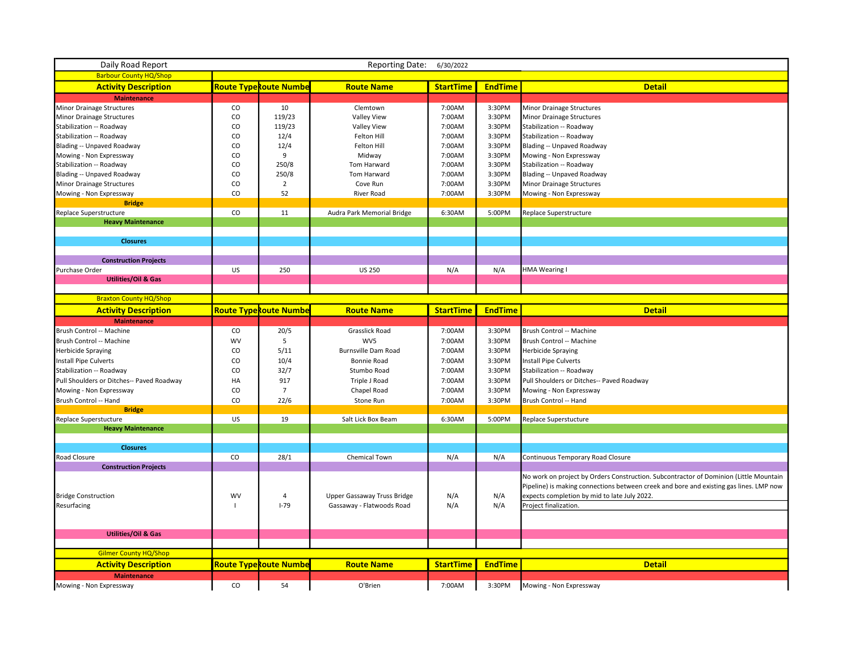| Daily Road Report<br><b>Reporting Date:</b><br>6/30/2022 |           |                               |                             |                  |                |                                                                                        |  |  |  |
|----------------------------------------------------------|-----------|-------------------------------|-----------------------------|------------------|----------------|----------------------------------------------------------------------------------------|--|--|--|
| <b>Barbour County HQ/Shop</b>                            |           |                               |                             |                  |                |                                                                                        |  |  |  |
| <b>Activity Description</b>                              |           | <b>Route Type Route Numbe</b> | <b>Route Name</b>           | <b>StartTime</b> | <b>EndTime</b> | <b>Detail</b>                                                                          |  |  |  |
| <b>Maintenance</b>                                       |           |                               |                             |                  |                |                                                                                        |  |  |  |
| Minor Drainage Structures                                | CO        | 10                            | Clemtown                    | 7:00AM           | 3:30PM         | Minor Drainage Structures                                                              |  |  |  |
| Minor Drainage Structures                                | CO        | 119/23                        | Valley View                 | 7:00AM           | 3:30PM         | Minor Drainage Structures                                                              |  |  |  |
| Stabilization -- Roadway                                 | CO        | 119/23                        | Valley View                 | 7:00AM           | 3:30PM         | Stabilization -- Roadway                                                               |  |  |  |
| Stabilization -- Roadway                                 | CO        | 12/4                          | Felton Hill                 | 7:00AM           | 3:30PM         | Stabilization -- Roadway                                                               |  |  |  |
| Blading -- Unpaved Roadway                               | CO        | 12/4                          | Felton Hill                 | 7:00AM           | 3:30PM         | Blading -- Unpaved Roadway                                                             |  |  |  |
| Mowing - Non Expressway                                  | CO        | 9                             | Midway                      | 7:00AM           | 3:30PM         | Mowing - Non Expressway                                                                |  |  |  |
| Stabilization -- Roadway                                 | CO        | 250/8                         | Tom Harward                 | 7:00AM           | 3:30PM         | Stabilization -- Roadway                                                               |  |  |  |
| Blading -- Unpaved Roadway                               | CO        | 250/8                         | Tom Harward                 | 7:00AM           | 3:30PM         | Blading -- Unpaved Roadway                                                             |  |  |  |
| Minor Drainage Structures                                | CO        | $\overline{2}$                | Cove Run                    | 7:00AM           | 3:30PM         | Minor Drainage Structures                                                              |  |  |  |
| Mowing - Non Expressway                                  | CO        | 52                            | River Road                  | 7:00AM           | 3:30PM         | Mowing - Non Expressway                                                                |  |  |  |
| <b>Bridge</b>                                            |           |                               |                             |                  |                |                                                                                        |  |  |  |
| Replace Superstructure                                   | CO        | 11                            | Audra Park Memorial Bridge  | 6:30AM           | 5:00PM         | Replace Superstructure                                                                 |  |  |  |
| <b>Heavy Maintenance</b>                                 |           |                               |                             |                  |                |                                                                                        |  |  |  |
|                                                          |           |                               |                             |                  |                |                                                                                        |  |  |  |
| <b>Closures</b>                                          |           |                               |                             |                  |                |                                                                                        |  |  |  |
|                                                          |           |                               |                             |                  |                |                                                                                        |  |  |  |
| <b>Construction Projects</b>                             |           |                               |                             |                  |                |                                                                                        |  |  |  |
| Purchase Order                                           | US        | 250                           | <b>US 250</b>               | N/A              | N/A            | <b>HMA Wearing I</b>                                                                   |  |  |  |
| <b>Utilities/Oil &amp; Gas</b>                           |           |                               |                             |                  |                |                                                                                        |  |  |  |
|                                                          |           |                               |                             |                  |                |                                                                                        |  |  |  |
| <b>Braxton County HQ/Shop</b>                            |           |                               |                             |                  |                |                                                                                        |  |  |  |
| <b>Activity Description</b>                              |           | <b>Route Type Route Numbe</b> | <b>Route Name</b>           | <b>StartTime</b> | <b>EndTime</b> | <b>Detail</b>                                                                          |  |  |  |
| <b>Maintenance</b>                                       |           |                               |                             |                  |                |                                                                                        |  |  |  |
| Brush Control -- Machine                                 | CO        | 20/5                          | Grasslick Road              | 7:00AM           | 3:30PM         | Brush Control -- Machine                                                               |  |  |  |
| Brush Control -- Machine                                 | <b>WV</b> | 5                             | WV5                         | 7:00AM           | 3:30PM         | Brush Control -- Machine                                                               |  |  |  |
| <b>Herbicide Spraying</b>                                | CO        | 5/11                          | <b>Burnsville Dam Road</b>  | 7:00AM           | 3:30PM         | <b>Herbicide Spraying</b>                                                              |  |  |  |
| Install Pipe Culverts                                    | CO        | 10/4                          | Bonnie Road                 | 7:00AM           | 3:30PM         | Install Pipe Culverts                                                                  |  |  |  |
| Stabilization -- Roadway                                 | CO        | 32/7                          | Stumbo Road                 | 7:00AM           | 3:30PM         | Stabilization -- Roadway                                                               |  |  |  |
| Pull Shoulders or Ditches-- Paved Roadway                | HA        | 917                           | Triple J Road               | 7:00AM           | 3:30PM         | Pull Shoulders or Ditches-- Paved Roadway                                              |  |  |  |
| Mowing - Non Expressway                                  | CO        | $\overline{7}$                | Chapel Road                 | 7:00AM           | 3:30PM         | Mowing - Non Expressway                                                                |  |  |  |
| Brush Control -- Hand                                    | CO        | 22/6                          | Stone Run                   | 7:00AM           | 3:30PM         | Brush Control -- Hand                                                                  |  |  |  |
| <b>Bridge</b>                                            |           |                               |                             |                  |                |                                                                                        |  |  |  |
| Replace Superstucture                                    | US        | 19                            | Salt Lick Box Beam          | 6:30AM           | 5:00PM         | Replace Superstucture                                                                  |  |  |  |
| <b>Heavy Maintenance</b>                                 |           |                               |                             |                  |                |                                                                                        |  |  |  |
|                                                          |           |                               |                             |                  |                |                                                                                        |  |  |  |
| <b>Closures</b>                                          |           |                               |                             |                  |                |                                                                                        |  |  |  |
| Road Closure                                             | CO        | 28/1                          | Chemical Town               | N/A              | N/A            | Continuous Temporary Road Closure                                                      |  |  |  |
| <b>Construction Projects</b>                             |           |                               |                             |                  |                |                                                                                        |  |  |  |
|                                                          |           |                               |                             |                  |                | No work on project by Orders Construction. Subcontractor of Dominion (Little Mountain  |  |  |  |
|                                                          |           |                               |                             |                  |                | Pipeline) is making connections between creek and bore and existing gas lines. LMP now |  |  |  |
| <b>Bridge Construction</b>                               | WV        | $\overline{4}$                | Upper Gassaway Truss Bridge | N/A              | N/A            | expects completion by mid to late July 2022.                                           |  |  |  |
| Resurfacing                                              |           | $I-79$                        | Gassaway - Flatwoods Road   | N/A              | N/A            | Project finalization.                                                                  |  |  |  |
|                                                          |           |                               |                             |                  |                |                                                                                        |  |  |  |
|                                                          |           |                               |                             |                  |                |                                                                                        |  |  |  |
| <b>Utilities/Oil &amp; Gas</b>                           |           |                               |                             |                  |                |                                                                                        |  |  |  |
|                                                          |           |                               |                             |                  |                |                                                                                        |  |  |  |
| <b>Gilmer County HQ/Shop</b>                             |           |                               |                             |                  |                |                                                                                        |  |  |  |
| <b>Activity Description</b>                              |           | <u>Route TypeRoute Numbe</u>  | <b>Route Name</b>           | <b>StartTime</b> | <b>EndTime</b> | <b>Detail</b>                                                                          |  |  |  |
| <b>Maintenance</b>                                       |           |                               |                             |                  |                |                                                                                        |  |  |  |
| Mowing - Non Expressway                                  | CO        | 54                            | O'Brien                     | 7:00AM           | 3:30PM         | Mowing - Non Expressway                                                                |  |  |  |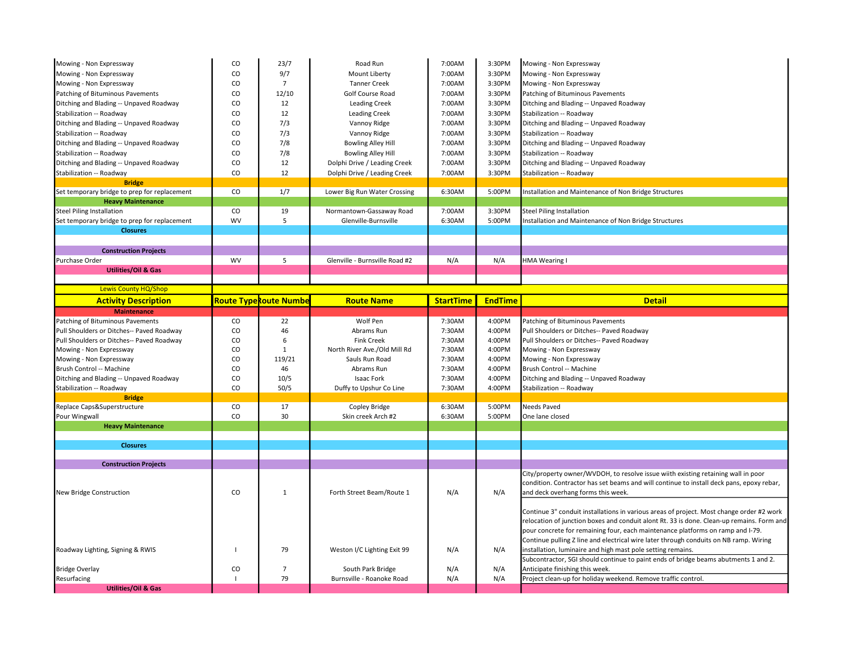| Mowing - Non Expressway                       | CO           | 23/7                          | Road Run                       | 7:00AM           | 3:30PM         | Mowing - Non Expressway                                                                   |
|-----------------------------------------------|--------------|-------------------------------|--------------------------------|------------------|----------------|-------------------------------------------------------------------------------------------|
| Mowing - Non Expressway                       | CO           | 9/7                           | Mount Liberty                  | 7:00AM           | 3:30PM         | Mowing - Non Expressway                                                                   |
| Mowing - Non Expressway                       | CO.          | $\overline{7}$                | <b>Tanner Creek</b>            | 7:00AM           | 3:30PM         | Mowing - Non Expressway                                                                   |
| Patching of Bituminous Pavements              | CO           | 12/10                         | Golf Course Road               | 7:00AM           | 3:30PM         | Patching of Bituminous Pavements                                                          |
| Ditching and Blading -- Unpaved Roadway       | CO           | 12                            | Leading Creek                  | 7:00AM           | 3:30PM         | Ditching and Blading -- Unpaved Roadway                                                   |
| Stabilization -- Roadway                      | CO           | 12                            | <b>Leading Creek</b>           | 7:00AM           | 3:30PM         | Stabilization -- Roadway                                                                  |
| Ditching and Blading -- Unpaved Roadway       | CO           | 7/3                           | Vannoy Ridge                   | 7:00AM           | 3:30PM         | Ditching and Blading -- Unpaved Roadway                                                   |
| Stabilization -- Roadway                      | CO           | 7/3                           | Vannoy Ridge                   | 7:00AM           | 3:30PM         | Stabilization -- Roadway                                                                  |
|                                               |              |                               |                                |                  |                |                                                                                           |
| Ditching and Blading -- Unpaved Roadway       | CO           | 7/8                           | <b>Bowling Alley Hill</b>      | 7:00AM           | 3:30PM         | Ditching and Blading -- Unpaved Roadway                                                   |
| Stabilization -- Roadway                      | CO           | 7/8                           | <b>Bowling Alley Hill</b>      | 7:00AM           | 3:30PM         | Stabilization -- Roadway                                                                  |
| Ditching and Blading -- Unpaved Roadway       | CO           | 12                            | Dolphi Drive / Leading Creek   | 7:00AM           | 3:30PM         | Ditching and Blading -- Unpaved Roadway                                                   |
| Stabilization -- Roadway                      | CO           | 12                            | Dolphi Drive / Leading Creek   | 7:00AM           | 3:30PM         | Stabilization -- Roadway                                                                  |
| <b>Bridge</b>                                 |              |                               |                                |                  |                |                                                                                           |
| Set temporary bridge to prep for replacement  | CO           | 1/7                           | Lower Big Run Water Crossing   | 6:30AM           | 5:00PM         | Installation and Maintenance of Non Bridge Structures                                     |
| <b>Heavy Maintenance</b>                      |              |                               |                                |                  |                |                                                                                           |
| <b>Steel Piling Installation</b>              | CO           | 19                            | Normantown-Gassaway Road       | 7:00AM           | 3:30PM         | <b>Steel Piling Installation</b>                                                          |
| Set temporary bridge to prep for replacement  | WV           | 5                             | Glenville-Burnsville           | 6:30AM           | 5:00PM         | Installation and Maintenance of Non Bridge Structures                                     |
| <b>Closures</b>                               |              |                               |                                |                  |                |                                                                                           |
|                                               |              |                               |                                |                  |                |                                                                                           |
| <b>Construction Projects</b>                  |              |                               |                                |                  |                |                                                                                           |
| Purchase Order                                | <b>WV</b>    | 5                             | Glenville - Burnsville Road #2 | N/A              | N/A            | HMA Wearing I                                                                             |
| <b>Utilities/Oil &amp; Gas</b>                |              |                               |                                |                  |                |                                                                                           |
|                                               |              |                               |                                |                  |                |                                                                                           |
| <b>Lewis County HQ/Shop</b>                   |              |                               |                                |                  |                |                                                                                           |
| <b>Activity Description</b>                   |              | <b>Route Type Route Numbe</b> | <b>Route Name</b>              | <b>StartTime</b> | <b>EndTime</b> | <b>Detail</b>                                                                             |
| <b>Maintenance</b>                            |              |                               |                                |                  |                |                                                                                           |
| Patching of Bituminous Pavements              | CO           | 22                            | Wolf Pen                       | 7:30AM           | 4:00PM         | Patching of Bituminous Pavements                                                          |
| Pull Shoulders or Ditches-- Paved Roadway     | CO           | 46                            | Abrams Run                     | 7:30AM           | 4:00PM         | Pull Shoulders or Ditches-- Paved Roadway                                                 |
| Pull Shoulders or Ditches-- Paved Roadway     | CO           | 6                             | <b>Fink Creek</b>              | 7:30AM           | 4:00PM         | Pull Shoulders or Ditches-- Paved Roadway                                                 |
| Mowing - Non Expressway                       | CO           | $\mathbf{1}$                  | North River Ave./Old Mill Rd   | 7:30AM           | 4:00PM         | Mowing - Non Expressway                                                                   |
| Mowing - Non Expressway                       | CO           | 119/21                        | Sauls Run Road                 | 7:30AM           | 4:00PM         | Mowing - Non Expressway                                                                   |
| Brush Control -- Machine                      | CO           | 46                            | Abrams Run                     | 7:30AM           | 4:00PM         | Brush Control -- Machine                                                                  |
| Ditching and Blading -- Unpaved Roadway       | CO           | 10/5                          | Isaac Fork                     | 7:30AM           | 4:00PM         | Ditching and Blading -- Unpaved Roadway                                                   |
| Stabilization -- Roadway                      | CO           | 50/5                          | Duffy to Upshur Co Line        | 7:30AM           | 4:00PM         | Stabilization -- Roadway                                                                  |
| <b>Bridge</b>                                 |              |                               |                                |                  |                |                                                                                           |
| Replace Caps&Superstructure                   | CO           | 17                            | Copley Bridge                  | 6:30AM           | 5:00PM         | Needs Paved                                                                               |
| Pour Wingwall                                 | CO           | 30                            | Skin creek Arch #2             | 6:30AM           | 5:00PM         | One lane closed                                                                           |
| <b>Heavy Maintenance</b>                      |              |                               |                                |                  |                |                                                                                           |
|                                               |              |                               |                                |                  |                |                                                                                           |
| <b>Closures</b>                               |              |                               |                                |                  |                |                                                                                           |
|                                               |              |                               |                                |                  |                |                                                                                           |
| <b>Construction Projects</b>                  |              |                               |                                |                  |                |                                                                                           |
|                                               |              |                               |                                |                  |                | City/property owner/WVDOH, to resolve issue wiith existing retaining wall in poor         |
|                                               |              |                               |                                |                  |                | condition. Contractor has set beams and will continue to install deck pans, epoxy rebar,  |
| New Bridge Construction                       | CO           | $\mathbf{1}$                  | Forth Street Beam/Route 1      | N/A              | N/A            | and deck overhang forms this week.                                                        |
|                                               |              |                               |                                |                  |                |                                                                                           |
|                                               |              |                               |                                |                  |                | Continue 3" conduit installations in various areas of project. Most change order #2 work  |
|                                               |              |                               |                                |                  |                | relocation of junction boxes and conduit alont Rt. 33 is done. Clean-up remains. Form and |
|                                               |              |                               |                                |                  |                | pour concrete for remaining four, each maintenance platforms on ramp and I-79.            |
|                                               |              |                               |                                |                  |                | Continue pulling Z line and electrical wire later through conduits on NB ramp. Wiring     |
| Roadway Lighting, Signing & RWIS              | $\mathbf{I}$ | 79                            | Weston I/C Lighting Exit 99    | N/A              | N/A            | installation, luminaire and high mast pole setting remains.                               |
|                                               |              |                               |                                |                  |                | Subcontractor, SGI should continue to paint ends of bridge beams abutments 1 and 2.       |
| <b>Bridge Overlay</b>                         | CO           | $\overline{7}$                | South Park Bridge              | N/A              | N/A            | Anticipate finishing this week.                                                           |
|                                               |              |                               |                                |                  |                |                                                                                           |
|                                               | $\mathbf{I}$ | 79                            | Burnsville - Roanoke Road      |                  |                |                                                                                           |
| Resurfacing<br><b>Utilities/Oil &amp; Gas</b> |              |                               |                                | N/A              | N/A            | Project clean-up for holiday weekend. Remove traffic control.                             |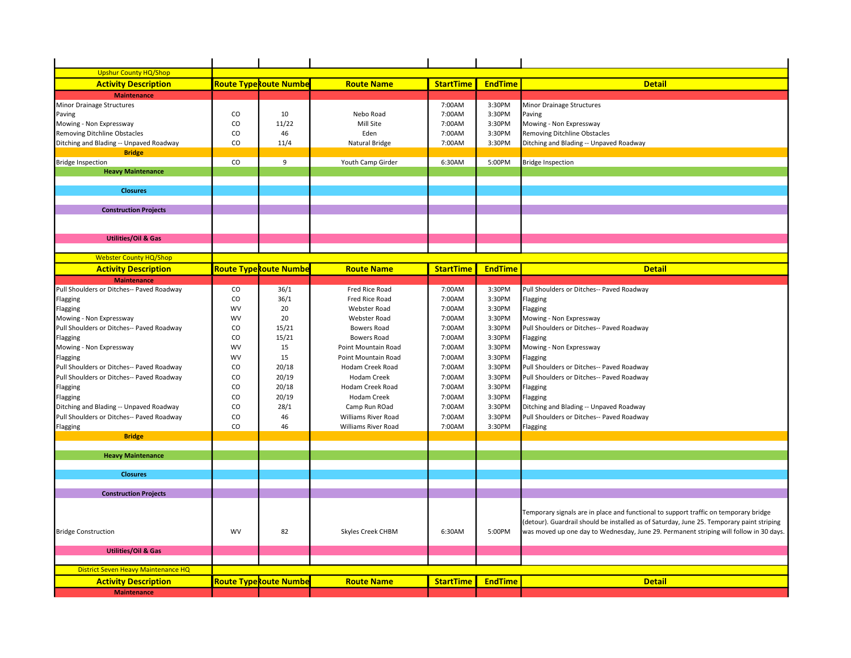| <b>Upshur County HQ/Shop</b>              |               |                               |                     |                  |                |                                                                                           |
|-------------------------------------------|---------------|-------------------------------|---------------------|------------------|----------------|-------------------------------------------------------------------------------------------|
| <b>Activity Description</b>               |               | <u>Route TypeRoute Numbe</u>  | <b>Route Name</b>   | <b>StartTime</b> | <b>EndTime</b> | <b>Detail</b>                                                                             |
| <b>Maintenance</b>                        |               |                               |                     |                  |                |                                                                                           |
| Minor Drainage Structures                 |               |                               |                     | 7:00AM           | 3:30PM         | Minor Drainage Structures                                                                 |
| Paving                                    | $_{\rm CO}$   | 10                            | Nebo Road           | 7:00AM           | 3:30PM         | Paving                                                                                    |
| Mowing - Non Expressway                   | CO            | 11/22                         | Mill Site           | 7:00AM           | 3:30PM         | Mowing - Non Expressway                                                                   |
| Removing Ditchline Obstacles              | CO            | 46                            | Eden                | 7:00AM           | 3:30PM         | Removing Ditchline Obstacles                                                              |
| Ditching and Blading -- Unpaved Roadway   | CO            | 11/4                          | Natural Bridge      | 7:00AM           | 3:30PM         | Ditching and Blading -- Unpaved Roadway                                                   |
| <b>Bridge</b>                             |               |                               |                     |                  |                |                                                                                           |
| <b>Bridge Inspection</b>                  | CO            | 9                             | Youth Camp Girder   | 6:30AM           | 5:00PM         | <b>Bridge Inspection</b>                                                                  |
| <b>Heavy Maintenance</b>                  |               |                               |                     |                  |                |                                                                                           |
|                                           |               |                               |                     |                  |                |                                                                                           |
| <b>Closures</b>                           |               |                               |                     |                  |                |                                                                                           |
|                                           |               |                               |                     |                  |                |                                                                                           |
| <b>Construction Projects</b>              |               |                               |                     |                  |                |                                                                                           |
|                                           |               |                               |                     |                  |                |                                                                                           |
|                                           |               |                               |                     |                  |                |                                                                                           |
| <b>Utilities/Oil &amp; Gas</b>            |               |                               |                     |                  |                |                                                                                           |
|                                           |               |                               |                     |                  |                |                                                                                           |
| <b>Webster County HQ/Shop</b>             |               |                               |                     |                  |                |                                                                                           |
| <b>Activity Description</b>               |               | <b>Route Type Route Numbe</b> | <b>Route Name</b>   | <b>StartTime</b> | <b>EndTime</b> | <b>Detail</b>                                                                             |
| <b>Maintenance</b>                        |               |                               |                     |                  |                |                                                                                           |
| Pull Shoulders or Ditches-- Paved Roadway | CO            | 36/1                          | Fred Rice Road      | 7:00AM           | 3:30PM         | Pull Shoulders or Ditches-- Paved Roadway                                                 |
| Flagging                                  | CO            | 36/1                          | Fred Rice Road      | 7:00AM           | 3:30PM         | Flagging                                                                                  |
| Flagging                                  | <b>WV</b>     | 20                            | Webster Road        | 7:00AM           | 3:30PM         | Flagging                                                                                  |
| Mowing - Non Expressway                   | <b>WV</b>     | 20                            | Webster Road        | 7:00AM           | 3:30PM         | Mowing - Non Expressway                                                                   |
| Pull Shoulders or Ditches-- Paved Roadway | CO            | 15/21                         | Bowers Road         | 7:00AM           | 3:30PM         | Pull Shoulders or Ditches-- Paved Roadway                                                 |
| Flagging                                  | CO            | 15/21                         | Bowers Road         | 7:00AM           | 3:30PM         | Flagging                                                                                  |
| Mowing - Non Expressway                   | <b>WV</b>     | 15                            | Point Mountain Road | 7:00AM           | 3:30PM         | Mowing - Non Expressway                                                                   |
| Flagging                                  | WV            | 15                            | Point Mountain Road | 7:00AM           | 3:30PM         | Flagging                                                                                  |
| Pull Shoulders or Ditches-- Paved Roadway | CO            | 20/18                         | Hodam Creek Road    | 7:00AM           | 3:30PM         | Pull Shoulders or Ditches-- Paved Roadway                                                 |
|                                           | CO            |                               | Hodam Creek         | 7:00AM           | 3:30PM         |                                                                                           |
| Pull Shoulders or Ditches-- Paved Roadway |               | 20/19                         |                     |                  |                | Pull Shoulders or Ditches-- Paved Roadway                                                 |
| Flagging                                  | CO            | 20/18                         | Hodam Creek Road    | 7:00AM           | 3:30PM         | Flagging                                                                                  |
| Flagging                                  | CO            | 20/19                         | Hodam Creek         | 7:00AM           | 3:30PM         | Flagging                                                                                  |
| Ditching and Blading -- Unpaved Roadway   | <sub>co</sub> | 28/1                          | Camp Run ROad       | 7:00AM           | 3:30PM         | Ditching and Blading -- Unpaved Roadway                                                   |
| Pull Shoulders or Ditches-- Paved Roadway | CO            | 46                            | Williams River Road | 7:00AM           | 3:30PM         | Pull Shoulders or Ditches-- Paved Roadway                                                 |
| Flagging                                  | CO            | 46                            | Williams River Road | 7:00AM           | 3:30PM         | Flagging                                                                                  |
| <b>Bridge</b>                             |               |                               |                     |                  |                |                                                                                           |
|                                           |               |                               |                     |                  |                |                                                                                           |
| <b>Heavy Maintenance</b>                  |               |                               |                     |                  |                |                                                                                           |
|                                           |               |                               |                     |                  |                |                                                                                           |
| <b>Closures</b>                           |               |                               |                     |                  |                |                                                                                           |
|                                           |               |                               |                     |                  |                |                                                                                           |
| <b>Construction Projects</b>              |               |                               |                     |                  |                |                                                                                           |
|                                           |               |                               |                     |                  |                | Temporary signals are in place and functional to support traffic on temporary bridge      |
|                                           |               |                               |                     |                  |                | (detour). Guardrail should be installed as of Saturday, June 25. Temporary paint striping |
| <b>Bridge Construction</b>                | <b>WV</b>     | 82                            | Skyles Creek CHBM   | 6:30AM           | 5:00PM         | was moved up one day to Wednesday, June 29. Permanent striping will follow in 30 days.    |
|                                           |               |                               |                     |                  |                |                                                                                           |
| <b>Utilities/Oil &amp; Gas</b>            |               |                               |                     |                  |                |                                                                                           |
|                                           |               |                               |                     |                  |                |                                                                                           |
| District Seven Heavy Maintenance HQ       |               |                               |                     |                  |                |                                                                                           |
| <b>Activity Description</b>               |               | <b>Route Type Route Numbe</b> | <b>Route Name</b>   | <b>StartTime</b> | <b>EndTime</b> | <b>Detail</b>                                                                             |
| <b>Maintenance</b>                        |               |                               |                     |                  |                |                                                                                           |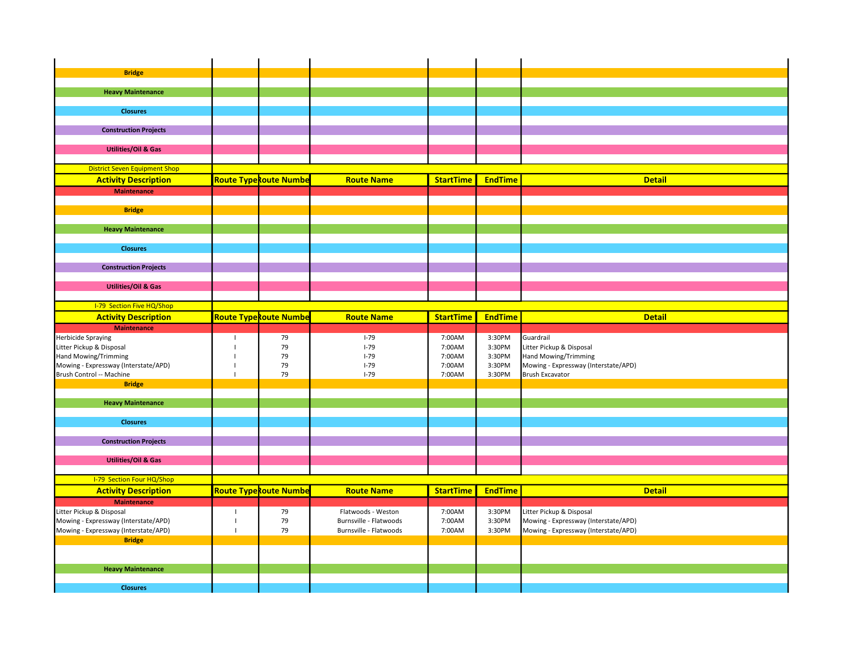| <b>Bridge</b>                        |                          |                               |                        |                  |                |                                      |
|--------------------------------------|--------------------------|-------------------------------|------------------------|------------------|----------------|--------------------------------------|
|                                      |                          |                               |                        |                  |                |                                      |
| <b>Heavy Maintenance</b>             |                          |                               |                        |                  |                |                                      |
|                                      |                          |                               |                        |                  |                |                                      |
| <b>Closures</b>                      |                          |                               |                        |                  |                |                                      |
|                                      |                          |                               |                        |                  |                |                                      |
| <b>Construction Projects</b>         |                          |                               |                        |                  |                |                                      |
|                                      |                          |                               |                        |                  |                |                                      |
| <b>Utilities/Oil &amp; Gas</b>       |                          |                               |                        |                  |                |                                      |
|                                      |                          |                               |                        |                  |                |                                      |
| <b>District Seven Equipment Shop</b> |                          |                               |                        |                  |                |                                      |
| <b>Activity Description</b>          |                          | <b>Route Type Route Numbe</b> | <b>Route Name</b>      | <b>StartTime</b> | <b>EndTime</b> | <b>Detail</b>                        |
|                                      |                          |                               |                        |                  |                |                                      |
| <b>Maintenance</b>                   |                          |                               |                        |                  |                |                                      |
|                                      |                          |                               |                        |                  |                |                                      |
| <b>Bridge</b>                        |                          |                               |                        |                  |                |                                      |
|                                      |                          |                               |                        |                  |                |                                      |
| <b>Heavy Maintenance</b>             |                          |                               |                        |                  |                |                                      |
|                                      |                          |                               |                        |                  |                |                                      |
| <b>Closures</b>                      |                          |                               |                        |                  |                |                                      |
|                                      |                          |                               |                        |                  |                |                                      |
| <b>Construction Projects</b>         |                          |                               |                        |                  |                |                                      |
|                                      |                          |                               |                        |                  |                |                                      |
| <b>Utilities/Oil &amp; Gas</b>       |                          |                               |                        |                  |                |                                      |
|                                      |                          |                               |                        |                  |                |                                      |
| <b>I-79 Section Five HQ/Shop</b>     |                          |                               |                        |                  |                |                                      |
| <b>Activity Description</b>          |                          | <b>Route Type Route Numbe</b> | <b>Route Name</b>      | <b>StartTime</b> | <b>EndTime</b> | <b>Detail</b>                        |
|                                      |                          |                               |                        |                  |                |                                      |
| <b>Maintenance</b>                   |                          |                               |                        |                  |                |                                      |
| Herbicide Spraying                   | $\overline{\phantom{a}}$ | 79                            | $I-79$                 | 7:00AM           | 3:30PM         | Guardrail                            |
| Litter Pickup & Disposal             | $\overline{1}$           | 79                            | $I-79$                 | 7:00AM           | 3:30PM         | Litter Pickup & Disposal             |
| Hand Mowing/Trimming                 | J.                       | 79                            | $I-79$                 | 7:00AM           | 3:30PM         | Hand Mowing/Trimming                 |
| Mowing - Expressway (Interstate/APD) | $\mathbf{I}$             | 79                            | $I-79$                 | 7:00AM           | 3:30PM         | Mowing - Expressway (Interstate/APD) |
| Brush Control -- Machine             | $\overline{1}$           | 79                            | $I-79$                 | 7:00AM           | 3:30PM         | <b>Brush Excavator</b>               |
| <b>Bridge</b>                        |                          |                               |                        |                  |                |                                      |
|                                      |                          |                               |                        |                  |                |                                      |
| <b>Heavy Maintenance</b>             |                          |                               |                        |                  |                |                                      |
|                                      |                          |                               |                        |                  |                |                                      |
| <b>Closures</b>                      |                          |                               |                        |                  |                |                                      |
|                                      |                          |                               |                        |                  |                |                                      |
| <b>Construction Projects</b>         |                          |                               |                        |                  |                |                                      |
|                                      |                          |                               |                        |                  |                |                                      |
| <b>Utilities/Oil &amp; Gas</b>       |                          |                               |                        |                  |                |                                      |
|                                      |                          |                               |                        |                  |                |                                      |
| I-79 Section Four HQ/Shop            |                          |                               |                        |                  |                |                                      |
| <b>Activity Description</b>          |                          | <b>Route Type Route Numbe</b> | <b>Route Name</b>      | <b>StartTime</b> | <b>EndTime</b> | <b>Detail</b>                        |
| <b>Maintenance</b>                   |                          |                               |                        |                  |                |                                      |
| Litter Pickup & Disposal             | $\overline{1}$           | 79                            | Flatwoods - Weston     | 7:00AM           | 3:30PM         | Litter Pickup & Disposal             |
| Mowing - Expressway (Interstate/APD) | $\mathbf{I}$             | 79                            | Burnsville - Flatwoods | 7:00AM           | 3:30PM         | Mowing - Expressway (Interstate/APD) |
| Mowing - Expressway (Interstate/APD) | $\mathbf{I}$             | 79                            | Burnsville - Flatwoods | 7:00AM           | 3:30PM         | Mowing - Expressway (Interstate/APD) |
| <b>Bridge</b>                        |                          |                               |                        |                  |                |                                      |
|                                      |                          |                               |                        |                  |                |                                      |
|                                      |                          |                               |                        |                  |                |                                      |
| <b>Heavy Maintenance</b>             |                          |                               |                        |                  |                |                                      |
| <b>Closures</b>                      |                          |                               |                        |                  |                |                                      |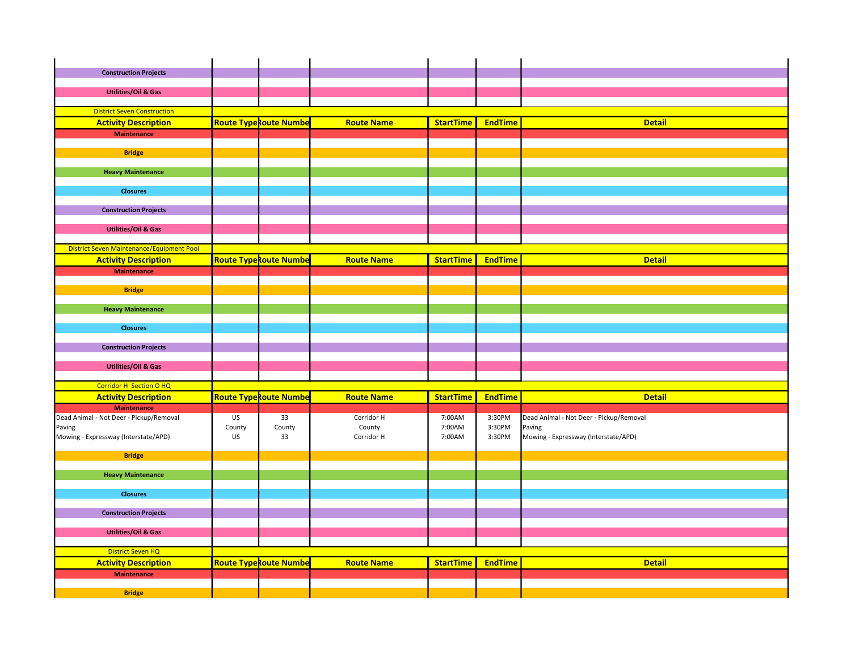| <b>Construction Projects</b>                     |              |                               |                      |                  |                  |                                                |
|--------------------------------------------------|--------------|-------------------------------|----------------------|------------------|------------------|------------------------------------------------|
|                                                  |              |                               |                      |                  |                  |                                                |
| <b>Utilities/Oil &amp; Gas</b>                   |              |                               |                      |                  |                  |                                                |
|                                                  |              |                               |                      |                  |                  |                                                |
| <b>District Seven Construction</b>               |              |                               |                      |                  |                  |                                                |
| <b>Activity Description</b>                      |              | <b>Route Type Route Numbe</b> | <b>Route Name</b>    | <b>StartTime</b> | <b>EndTime</b>   | <b>Detail</b>                                  |
| <b>Maintenance</b>                               |              |                               |                      |                  |                  |                                                |
| <b>Bridge</b>                                    |              |                               |                      |                  |                  |                                                |
|                                                  |              |                               |                      |                  |                  |                                                |
| <b>Heavy Maintenance</b>                         |              |                               |                      |                  |                  |                                                |
|                                                  |              |                               |                      |                  |                  |                                                |
| <b>Closures</b>                                  |              |                               |                      |                  |                  |                                                |
|                                                  |              |                               |                      |                  |                  |                                                |
| <b>Construction Projects</b>                     |              |                               |                      |                  |                  |                                                |
| <b>Utilities/Oil &amp; Gas</b>                   |              |                               |                      |                  |                  |                                                |
|                                                  |              |                               |                      |                  |                  |                                                |
| <b>District Seven Maintenance/Equipment Pool</b> |              |                               |                      |                  |                  |                                                |
| <b>Activity Description</b>                      |              | <b>Route Type Route Numbe</b> | <b>Route Name</b>    | <b>StartTime</b> | <b>EndTime</b>   | <b>Detail</b>                                  |
| <b>Maintenance</b>                               |              |                               |                      |                  |                  |                                                |
|                                                  |              |                               |                      |                  |                  |                                                |
| <b>Bridge</b>                                    |              |                               |                      |                  |                  |                                                |
|                                                  |              |                               |                      |                  |                  |                                                |
| <b>Heavy Maintenance</b>                         |              |                               |                      |                  |                  |                                                |
| <b>Closures</b>                                  |              |                               |                      |                  |                  |                                                |
|                                                  |              |                               |                      |                  |                  |                                                |
| <b>Construction Projects</b>                     |              |                               |                      |                  |                  |                                                |
|                                                  |              |                               |                      |                  |                  |                                                |
| <b>Utilities/Oil &amp; Gas</b>                   |              |                               |                      |                  |                  |                                                |
|                                                  |              |                               |                      |                  |                  |                                                |
| <b>Corridor H Section O HQ</b>                   |              |                               |                      |                  |                  |                                                |
| <b>Activity Description</b>                      |              | <b>Route Type Route Numbe</b> | <b>Route Name</b>    | <b>StartTime</b> | <b>EndTime</b>   | <b>Detail</b>                                  |
| <b>Maintenance</b>                               |              |                               |                      |                  |                  |                                                |
| Dead Animal - Not Deer - Pickup/Removal          | US           | 33                            | Corridor H           | 7:00AM<br>7:00AM | 3:30PM<br>3:30PM | Dead Animal - Not Deer - Pickup/Removal        |
| Paving<br>Mowing - Expressway (Interstate/APD)   | County<br>US | County<br>33                  | County<br>Corridor H | 7:00AM           | 3:30PM           | Paving<br>Mowing - Expressway (Interstate/APD) |
|                                                  |              |                               |                      |                  |                  |                                                |
| <b>Bridge</b>                                    |              |                               |                      |                  |                  |                                                |
|                                                  |              |                               |                      |                  |                  |                                                |
| <b>Heavy Maintenance</b>                         |              |                               |                      |                  |                  |                                                |
| <b>Closures</b>                                  |              |                               |                      |                  |                  |                                                |
|                                                  |              |                               |                      |                  |                  |                                                |
| <b>Construction Projects</b>                     |              |                               |                      |                  |                  |                                                |
|                                                  |              |                               |                      |                  |                  |                                                |
| <b>Utilities/Oil &amp; Gas</b>                   |              |                               |                      |                  |                  |                                                |
|                                                  |              |                               |                      |                  |                  |                                                |
| <b>District Seven HQ</b>                         |              |                               |                      |                  |                  |                                                |
| <b>Activity Description</b>                      |              | <b>Route Type Route Numbe</b> | <b>Route Name</b>    | <b>StartTime</b> | <b>EndTime</b>   | <b>Detail</b>                                  |
| <b>Maintenance</b>                               |              |                               |                      |                  |                  |                                                |
|                                                  |              |                               |                      |                  |                  |                                                |
| <b>Bridge</b>                                    |              |                               |                      |                  |                  |                                                |